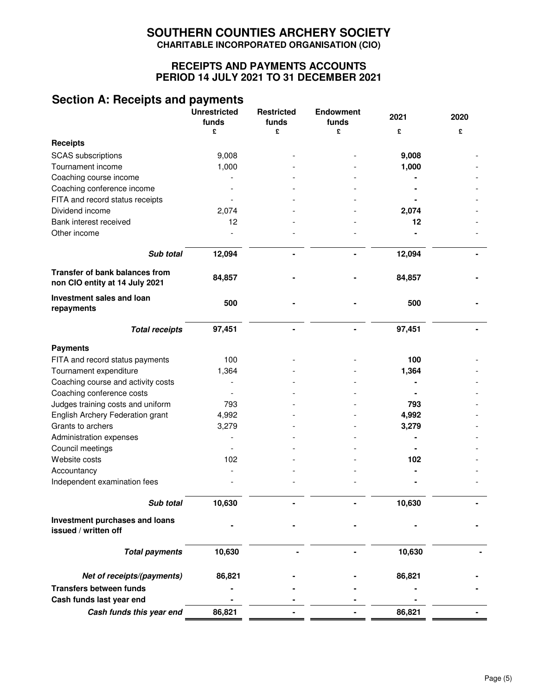# **SOUTHERN COUNTIES ARCHERY SOCIETY CHARITABLE INCORPORATED ORGANISATION (CIO)**

## **RECEIPTS AND PAYMENTS ACCOUNTS PERIOD 14 JULY 2021 TO 31 DECEMBER 2021**

# **Section A: Receipts and payments**

|                                                                         | <b>Unrestricted</b><br>funds | <b>Restricted</b><br>funds | <b>Endowment</b><br>funds | 2021   | 2020 |
|-------------------------------------------------------------------------|------------------------------|----------------------------|---------------------------|--------|------|
|                                                                         | £                            | £                          | £                         | £      | £    |
| <b>Receipts</b>                                                         |                              |                            |                           |        |      |
| <b>SCAS</b> subscriptions                                               | 9,008                        |                            |                           | 9,008  |      |
| Tournament income                                                       | 1,000                        |                            |                           | 1,000  |      |
| Coaching course income                                                  |                              |                            |                           |        |      |
| Coaching conference income                                              |                              |                            |                           |        |      |
| FITA and record status receipts                                         |                              |                            |                           |        |      |
| Dividend income                                                         | 2,074                        |                            |                           | 2,074  |      |
| Bank interest received                                                  | 12                           |                            |                           | 12     |      |
| Other income                                                            |                              |                            |                           |        |      |
| Sub total                                                               | 12,094                       |                            |                           | 12,094 |      |
| <b>Transfer of bank balances from</b><br>non CIO entity at 14 July 2021 | 84,857                       |                            |                           | 84,857 |      |
| Investment sales and loan<br>repayments                                 | 500                          |                            |                           | 500    |      |
| <b>Total receipts</b>                                                   | 97,451                       |                            |                           | 97,451 |      |
| <b>Payments</b>                                                         |                              |                            |                           |        |      |
| FITA and record status payments                                         | 100                          |                            |                           | 100    |      |
| Tournament expenditure                                                  | 1,364                        |                            |                           | 1,364  |      |
| Coaching course and activity costs                                      |                              |                            |                           |        |      |
| Coaching conference costs                                               |                              |                            |                           |        |      |
| Judges training costs and uniform                                       | 793                          |                            |                           | 793    |      |
| English Archery Federation grant                                        | 4,992                        |                            |                           | 4,992  |      |
| Grants to archers                                                       | 3,279                        |                            |                           | 3,279  |      |
| Administration expenses                                                 |                              |                            |                           |        |      |
| Council meetings                                                        |                              |                            |                           |        |      |
| Website costs                                                           | 102                          |                            |                           | 102    |      |
| Accountancy                                                             |                              |                            |                           |        |      |
| Independent examination fees                                            |                              |                            |                           |        |      |
| Sub total                                                               | 10,630                       |                            |                           | 10,630 |      |
|                                                                         |                              |                            |                           |        |      |
| Investment purchases and loans<br>issued / written off                  |                              |                            |                           |        |      |
| <b>Total payments</b>                                                   | 10,630                       |                            |                           | 10,630 |      |
| Net of receipts/(payments)                                              | 86,821                       |                            |                           | 86,821 |      |
| <b>Transfers between funds</b>                                          |                              |                            |                           |        |      |
| Cash funds last year end                                                |                              |                            |                           |        |      |
| Cash funds this year end                                                | 86,821                       |                            |                           | 86,821 |      |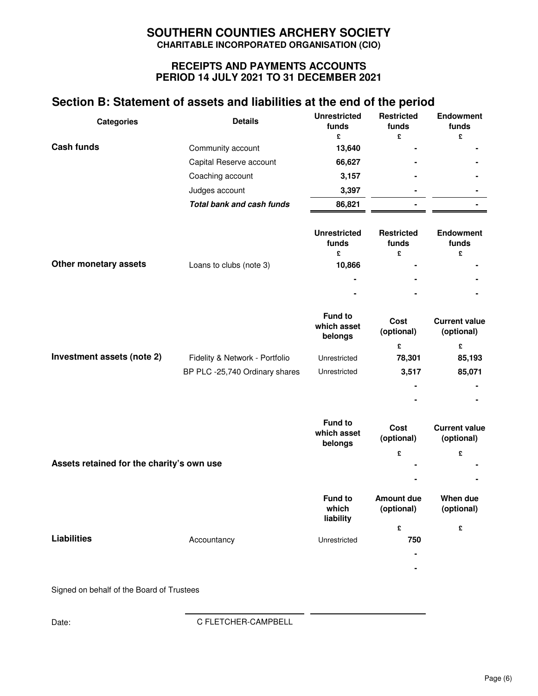# **SOUTHERN COUNTIES ARCHERY SOCIETY CHARITABLE INCORPORATED ORGANISATION (CIO)**

## **RECEIPTS AND PAYMENTS ACCOUNTS PERIOD 14 JULY 2021 TO 31 DECEMBER 2021**

# **Section B: Statement of assets and liabilities at the end of the period**

| <b>Categories</b> | <b>Details</b>                   | <b>Unrestricted</b><br>funds | <b>Restricted</b><br>funds | <b>Endowment</b><br>funds |
|-------------------|----------------------------------|------------------------------|----------------------------|---------------------------|
|                   |                                  | £                            | £                          | £                         |
| Cash funds        | Community account                | 13,640                       |                            |                           |
|                   | Capital Reserve account          | 66,627                       | ۰                          |                           |
|                   | Coaching account                 | 3,157                        |                            |                           |
|                   | Judges account                   | 3,397                        | $\blacksquare$             | -                         |
|                   | <b>Total bank and cash funds</b> | 86,821                       | $\blacksquare$             |                           |
|                   |                                  |                              |                            |                           |

|                       |                         | <b>Unrestricted</b><br>funds | <b>Restricted</b><br>funds | <b>Endowment</b><br>funds |
|-----------------------|-------------------------|------------------------------|----------------------------|---------------------------|
| Other monetary assets | Loans to clubs (note 3) | £<br>10,866                  | £<br>$\blacksquare$        |                           |
|                       |                         | ٠                            | $\blacksquare$             | ٠                         |
|                       |                         | $\overline{\phantom{a}}$     |                            | ۰                         |

|                            |                                | <b>Fund to</b><br>which asset<br>belongs | Cost<br>(optional) | <b>Current value</b><br>(optional) |
|----------------------------|--------------------------------|------------------------------------------|--------------------|------------------------------------|
|                            |                                |                                          | £                  | £                                  |
| Investment assets (note 2) | Fidelity & Network - Portfolio | Unrestricted                             | 78,301             | 85,193                             |
|                            | BP PLC -25,740 Ordinary shares | Unrestricted                             | 3,517              | 85,071                             |
|                            |                                |                                          | $\blacksquare$     | ۰                                  |
|                            |                                |                                          | $\blacksquare$     | ۰                                  |

|                                           |             | <b>Fund to</b><br>which asset<br>belongs | Cost<br>(optional)              | <b>Current value</b><br>(optional) |
|-------------------------------------------|-------------|------------------------------------------|---------------------------------|------------------------------------|
|                                           |             |                                          | £                               | £                                  |
| Assets retained for the charity's own use |             |                                          | $\blacksquare$                  |                                    |
|                                           |             |                                          | $\blacksquare$                  |                                    |
|                                           |             | <b>Fund to</b><br>which<br>liability     | <b>Amount due</b><br>(optional) | When due<br>(optional)             |
|                                           |             |                                          | £                               | £                                  |
| <b>Liabilities</b>                        | Accountancy | Unrestricted                             | 750                             |                                    |
|                                           |             |                                          | $\blacksquare$                  |                                    |
|                                           |             |                                          | $\blacksquare$                  |                                    |
|                                           |             |                                          |                                 |                                    |

Signed on behalf of the Board of Trustees

Date: C FLETCHER-CAMPBELL